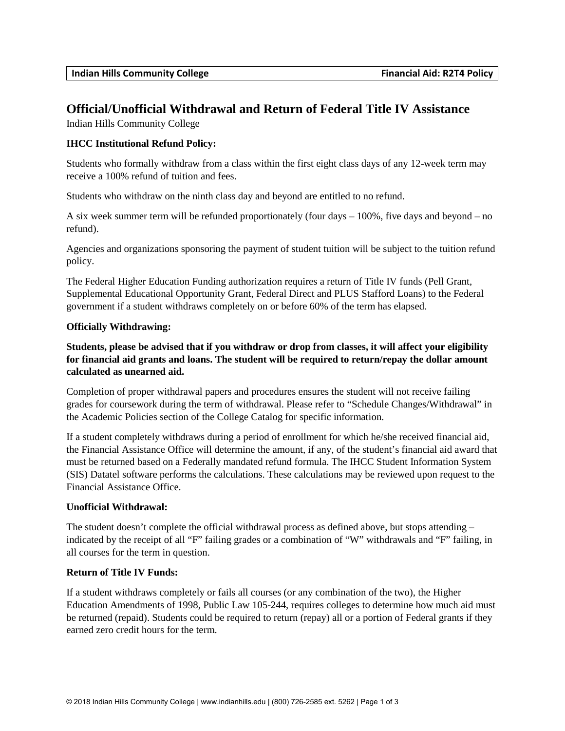# **Official/Unofficial Withdrawal and Return of Federal Title IV Assistance**

Indian Hills Community College

### **IHCC Institutional Refund Policy:**

Students who formally withdraw from a class within the first eight class days of any 12-week term may receive a 100% refund of tuition and fees.

Students who withdraw on the ninth class day and beyond are entitled to no refund.

A six week summer term will be refunded proportionately (four days – 100%, five days and beyond – no refund).

Agencies and organizations sponsoring the payment of student tuition will be subject to the tuition refund policy.

The Federal Higher Education Funding authorization requires a return of Title IV funds (Pell Grant, Supplemental Educational Opportunity Grant, Federal Direct and PLUS Stafford Loans) to the Federal government if a student withdraws completely on or before 60% of the term has elapsed.

#### **Officially Withdrawing:**

**Students, please be advised that if you withdraw or drop from classes, it will affect your eligibility for financial aid grants and loans. The student will be required to return/repay the dollar amount calculated as unearned aid.** 

Completion of proper withdrawal papers and procedures ensures the student will not receive failing grades for coursework during the term of withdrawal. Please refer to "Schedule Changes/Withdrawal" in the Academic Policies section of the College Catalog for specific information.

If a student completely withdraws during a period of enrollment for which he/she received financial aid, the Financial Assistance Office will determine the amount, if any, of the student's financial aid award that must be returned based on a Federally mandated refund formula. The IHCC Student Information System (SIS) Datatel software performs the calculations. These calculations may be reviewed upon request to the Financial Assistance Office.

### **Unofficial Withdrawal:**

The student doesn't complete the official withdrawal process as defined above, but stops attending – indicated by the receipt of all "F" failing grades or a combination of "W" withdrawals and "F" failing, in all courses for the term in question.

#### **Return of Title IV Funds:**

If a student withdraws completely or fails all courses (or any combination of the two), the Higher Education Amendments of 1998, Public Law 105-244, requires colleges to determine how much aid must be returned (repaid). Students could be required to return (repay) all or a portion of Federal grants if they earned zero credit hours for the term.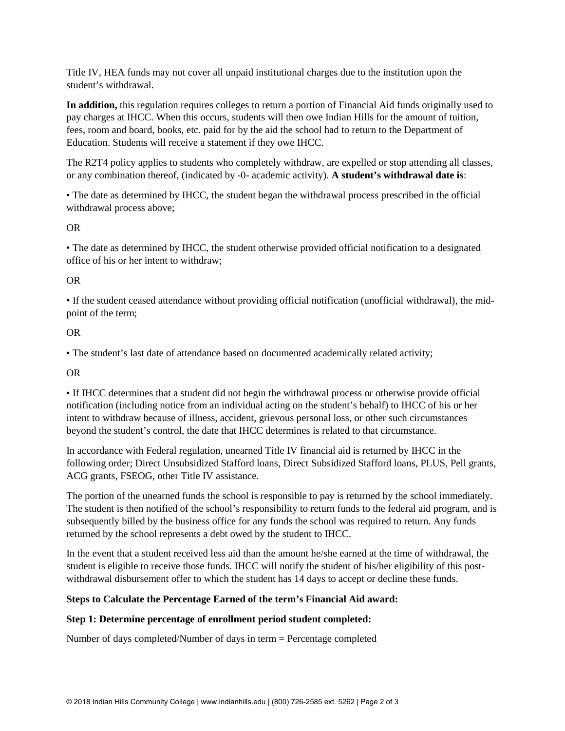Title IV, HEA funds may not cover all unpaid institutional charges due to the institution upon the student's withdrawal.

**In addition,** this regulation requires colleges to return a portion of Financial Aid funds originally used to pay charges at IHCC. When this occurs, students will then owe Indian Hills for the amount of tuition, fees, room and board, books, etc. paid for by the aid the school had to return to the Department of Education. Students will receive a statement if they owe IHCC.

The R2T4 policy applies to students who completely withdraw, are expelled or stop attending all classes, or any combination thereof, (indicated by -0- academic activity). **A student's withdrawal date is**:

• The date as determined by IHCC, the student began the withdrawal process prescribed in the official withdrawal process above;

### OR

• The date as determined by IHCC, the student otherwise provided official notification to a designated office of his or her intent to withdraw;

### OR

• If the student ceased attendance without providing official notification (unofficial withdrawal), the midpoint of the term;

### OR

• The student's last date of attendance based on documented academically related activity;

### OR

• If IHCC determines that a student did not begin the withdrawal process or otherwise provide official notification (including notice from an individual acting on the student's behalf) to IHCC of his or her intent to withdraw because of illness, accident, grievous personal loss, or other such circumstances beyond the student's control, the date that IHCC determines is related to that circumstance.

In accordance with Federal regulation, unearned Title IV financial aid is returned by IHCC in the following order; Direct Unsubsidized Stafford loans, Direct Subsidized Stafford loans, PLUS, Pell grants, ACG grants, FSEOG, other Title IV assistance.

The portion of the unearned funds the school is responsible to pay is returned by the school immediately. The student is then notified of the school's responsibility to return funds to the federal aid program, and is subsequently billed by the business office for any funds the school was required to return. Any funds returned by the school represents a debt owed by the student to IHCC.

In the event that a student received less aid than the amount he/she earned at the time of withdrawal, the student is eligible to receive those funds. IHCC will notify the student of his/her eligibility of this postwithdrawal disbursement offer to which the student has 14 days to accept or decline these funds.

### **Steps to Calculate the Percentage Earned of the term's Financial Aid award:**

### **Step 1: Determine percentage of enrollment period student completed:**

Number of days completed/Number of days in term = Percentage completed